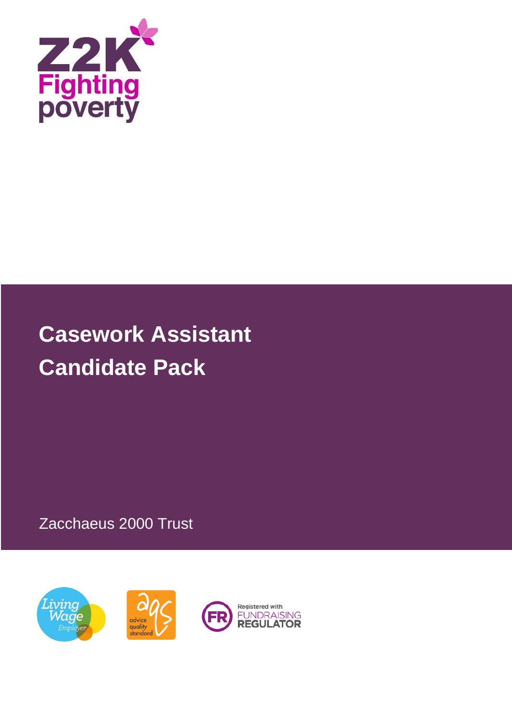

# **Casework Assistant Candidate Pack**

Zacchaeus 2000 Trust

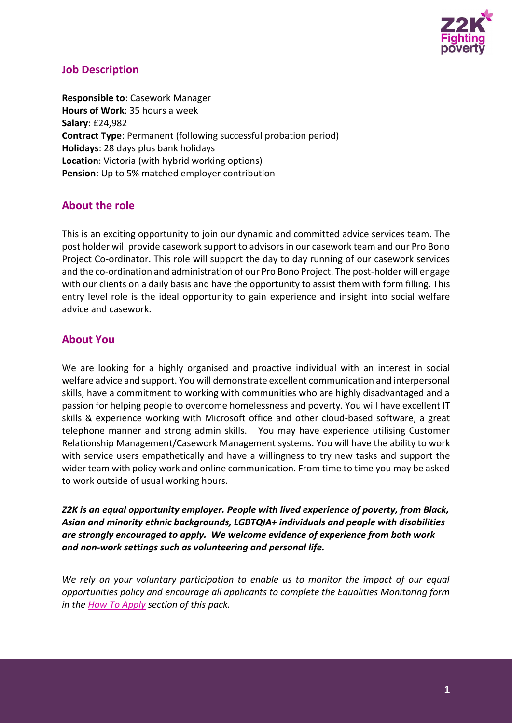

# **Job Description**

**Responsible to**: Casework Manager **Hours of Work**: 35 hours a week **Salary**: £24,982 **Contract Type**: Permanent (following successful probation period) **Holidays**: 28 days plus bank holidays **Location**: Victoria (with hybrid working options) **Pension**: Up to 5% matched employer contribution

# **About the role**

This is an exciting opportunity to join our dynamic and committed advice services team. The post holder will provide casework support to advisors in our casework team and our Pro Bono Project Co-ordinator. This role will support the day to day running of our casework services and the co-ordination and administration of our Pro Bono Project. The post-holder will engage with our clients on a daily basis and have the opportunity to assist them with form filling. This entry level role is the ideal opportunity to gain experience and insight into social welfare advice and casework.

# **About You**

We are looking for a highly organised and proactive individual with an interest in social welfare advice and support. You will demonstrate excellent communication and interpersonal skills, have a commitment to working with communities who are highly disadvantaged and a passion for helping people to overcome homelessness and poverty. You will have excellent IT skills & experience working with Microsoft office and other cloud-based software, a great telephone manner and strong admin skills. You may have experience utilising Customer Relationship Management/Casework Management systems. You will have the ability to work with service users empathetically and have a willingness to try new tasks and support the wider team with policy work and online communication. From time to time you may be asked to work outside of usual working hours.

*Z2K is an equal opportunity employer. People with lived experience of poverty, from Black, Asian and minority ethnic backgrounds, LGBTQIA+ individuals and people with disabilities are strongly encouraged to apply. We welcome evidence of experience from both work and non-work settings such as volunteering and personal life.*

*We rely on your voluntary participation to enable us to monitor the impact of our equal opportunities policy and encourage all applicants to complete the Equalities Monitoring form in the How [To Apply](#page-3-0) section of this pack.*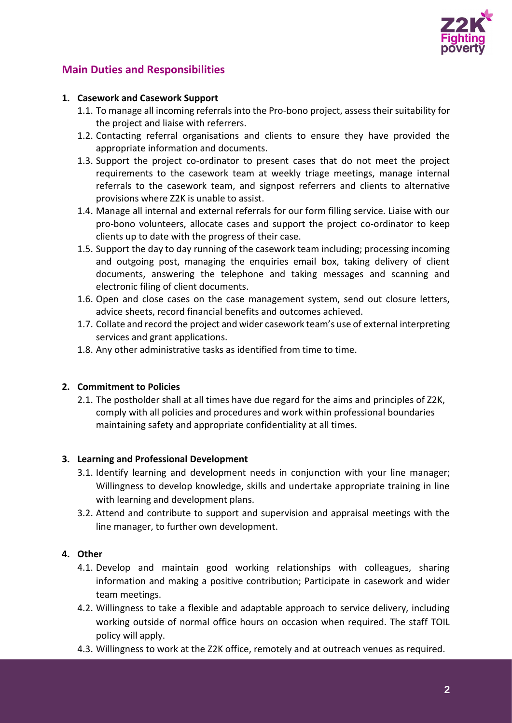

# **Main Duties and Responsibilities**

#### **1. Casework and Casework Support**

- 1.1. To manage all incoming referrals into the Pro-bono project, assess their suitability for the project and liaise with referrers.
- 1.2. Contacting referral organisations and clients to ensure they have provided the appropriate information and documents.
- 1.3. Support the project co-ordinator to present cases that do not meet the project requirements to the casework team at weekly triage meetings, manage internal referrals to the casework team, and signpost referrers and clients to alternative provisions where Z2K is unable to assist.
- 1.4. Manage all internal and external referrals for our form filling service. Liaise with our pro-bono volunteers, allocate cases and support the project co-ordinator to keep clients up to date with the progress of their case.
- 1.5. Support the day to day running of the casework team including; processing incoming and outgoing post, managing the enquiries email box, taking delivery of client documents, answering the telephone and taking messages and scanning and electronic filing of client documents.
- 1.6. Open and close cases on the case management system, send out closure letters, advice sheets, record financial benefits and outcomes achieved.
- 1.7. Collate and record the project and wider casework team's use of external interpreting services and grant applications.
- 1.8. Any other administrative tasks as identified from time to time.

#### **2. Commitment to Policies**

2.1. The postholder shall at all times have due regard for the aims and principles of Z2K, comply with all policies and procedures and work within professional boundaries maintaining safety and appropriate confidentiality at all times.

#### **3. Learning and Professional Development**

- 3.1. Identify learning and development needs in conjunction with your line manager; Willingness to develop knowledge, skills and undertake appropriate training in line with learning and development plans.
- 3.2. Attend and contribute to support and supervision and appraisal meetings with the line manager, to further own development.

#### **4. Other**

- 4.1. Develop and maintain good working relationships with colleagues, sharing information and making a positive contribution; Participate in casework and wider team meetings.
- 4.2. Willingness to take a flexible and adaptable approach to service delivery, including working outside of normal office hours on occasion when required. The staff TOIL policy will apply.
- 4.3. Willingness to work at the Z2K office, remotely and at outreach venues as required.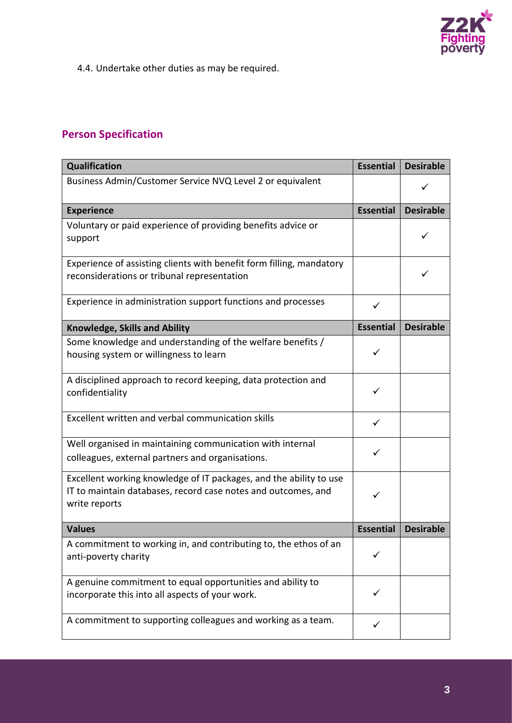

4.4. Undertake other duties as may be required.

# **Person Specification**

<span id="page-3-0"></span>

| <b>Qualification</b>                                                                                                                                 | <b>Essential</b> | <b>Desirable</b> |
|------------------------------------------------------------------------------------------------------------------------------------------------------|------------------|------------------|
| Business Admin/Customer Service NVQ Level 2 or equivalent                                                                                            |                  |                  |
| <b>Experience</b>                                                                                                                                    | <b>Essential</b> | <b>Desirable</b> |
| Voluntary or paid experience of providing benefits advice or<br>support                                                                              |                  |                  |
| Experience of assisting clients with benefit form filling, mandatory<br>reconsiderations or tribunal representation                                  |                  |                  |
| Experience in administration support functions and processes                                                                                         | $\checkmark$     |                  |
| <b>Knowledge, Skills and Ability</b>                                                                                                                 | <b>Essential</b> | <b>Desirable</b> |
| Some knowledge and understanding of the welfare benefits /<br>housing system or willingness to learn                                                 | ✓                |                  |
| A disciplined approach to record keeping, data protection and<br>confidentiality                                                                     |                  |                  |
| Excellent written and verbal communication skills                                                                                                    | ✓                |                  |
| Well organised in maintaining communication with internal<br>colleagues, external partners and organisations.                                        |                  |                  |
| Excellent working knowledge of IT packages, and the ability to use<br>IT to maintain databases, record case notes and outcomes, and<br>write reports |                  |                  |
| <b>Values</b>                                                                                                                                        | <b>Essential</b> | <b>Desirable</b> |
| A commitment to working in, and contributing to, the ethos of an<br>anti-poverty charity                                                             |                  |                  |
| A genuine commitment to equal opportunities and ability to<br>incorporate this into all aspects of your work.                                        |                  |                  |
| A commitment to supporting colleagues and working as a team.                                                                                         |                  |                  |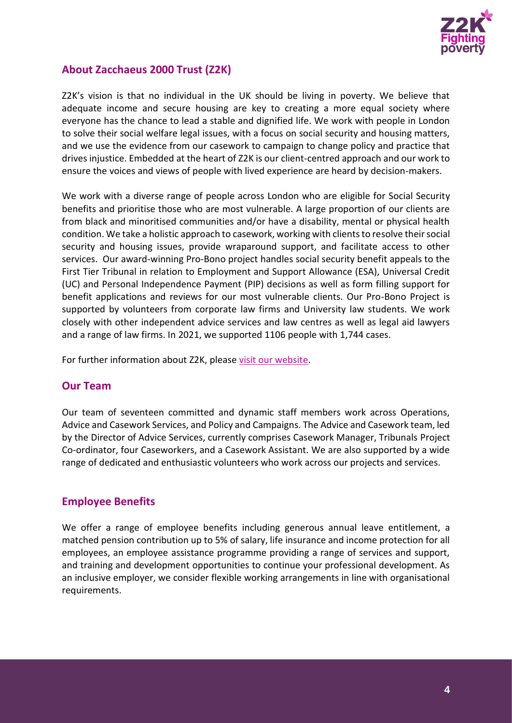

# **About Zacchaeus 2000 Trust (Z2K)**

Z2K's vision is that no individual in the UK should be living in poverty. We believe that adequate income and secure housing are key to creating a more equal society where everyone has the chance to lead a stable and dignified life. We work with people in London to solve their social welfare legal issues, with a focus on social security and housing matters, and we use the evidence from our casework to campaign to change policy and practice that drives injustice. Embedded at the heart of Z2K is our client-centred approach and our work to ensure the voices and views of people with lived experience are heard by decision-makers.

We work with a diverse range of people across London who are eligible for Social Security benefits and prioritise those who are most vulnerable. A large proportion of our clients are from black and minoritised communities and/or have a disability, mental or physical health condition. We take a holistic approach to casework, working with clients to resolve their social security and housing issues, provide wraparound support, and facilitate access to other services. Our award-winning Pro-Bono project handles social security benefit appeals to the First Tier Tribunal in relation to Employment and Support Allowance (ESA), Universal Credit (UC) and Personal Independence Payment (PIP) decisions as well as form filling support for benefit applications and reviews for our most vulnerable clients. Our Pro-Bono Project is supported by volunteers from corporate law firms and University law students. We work closely with other independent advice services and law centres as well as legal aid lawyers and a range of law firms. In 2021, we supported 1106 people with 1,744 cases.

For further information about Z2K, please [visit our website.](https://www.z2k.org/)

# **Our Team**

Our team of seventeen committed and dynamic staff members work across Operations, Advice and Casework Services, and Policy and Campaigns. The Advice and Casework team, led by the Director of Advice Services, currently comprises Casework Manager, Tribunals Project Co-ordinator, four Caseworkers, and a Casework Assistant. We are also supported by a wide range of dedicated and enthusiastic volunteers who work across our projects and services.

# **Employee Benefits**

We offer a range of employee benefits including generous annual leave entitlement, a matched pension contribution up to 5% of salary, life insurance and income protection for all employees, an employee assistance programme providing a range of services and support, and training and development opportunities to continue your professional development. As an inclusive employer, we consider flexible working arrangements in line with organisational requirements.